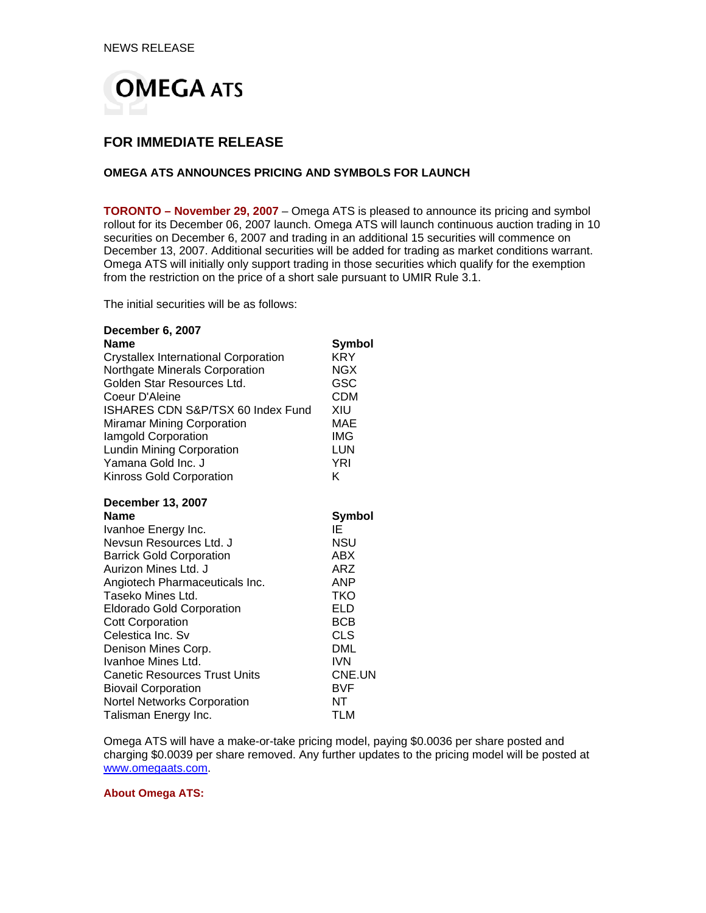

## **FOR IMMEDIATE RELEASE**

## **OMEGA ATS ANNOUNCES PRICING AND SYMBOLS FOR LAUNCH**

**TORONTO – November 29, 2007** – Omega ATS is pleased to announce its pricing and symbol rollout for its December 06, 2007 launch. Omega ATS will launch continuous auction trading in 10 securities on December 6, 2007 and trading in an additional 15 securities will commence on December 13, 2007. Additional securities will be added for trading as market conditions warrant. Omega ATS will initially only support trading in those securities which qualify for the exemption from the restriction on the price of a short sale pursuant to UMIR Rule 3.1.

The initial securities will be as follows:

## **December 6, 2007**

| Name                                        | <b>Symbol</b> |
|---------------------------------------------|---------------|
| <b>Crystallex International Corporation</b> | <b>KRY</b>    |
| Northgate Minerals Corporation              | <b>NGX</b>    |
| Golden Star Resources Ltd.                  | GSC           |
| Coeur D'Aleine                              | <b>CDM</b>    |
| ISHARES CDN S&P/TSX 60 Index Fund           | XIU           |
| <b>Miramar Mining Corporation</b>           | MAE           |
| lamgold Corporation                         | IMG           |
| <b>Lundin Mining Corporation</b>            | LUN           |
| Yamana Gold Inc. J                          | <b>YRI</b>    |
| Kinross Gold Corporation                    | K             |
| <b>December 13, 2007</b>                    |               |
| <b>Name</b>                                 | Symbol        |
| Ivanhoe Energy Inc.                         | ΙE            |
| Nevsun Resources Ltd. J                     | <b>NSU</b>    |
| <b>Barrick Gold Corporation</b>             | ABX           |
| Aurizon Mines Ltd. J                        | ARZ           |
| Angiotech Pharmaceuticals Inc.              | <b>ANP</b>    |
| Taseko Mines Ltd.                           | TKO           |
| <b>Eldorado Gold Corporation</b>            | <b>ELD</b>    |
| <b>Cott Corporation</b>                     | <b>BCB</b>    |
| Celestica Inc. Sv                           | <b>CLS</b>    |
| Denison Mines Corp.                         | <b>DML</b>    |
| Ivanhoe Mines Ltd.                          | <b>IVN</b>    |
| <b>Canetic Resources Trust Units</b>        | CNE.UN        |
| <b>Biovail Corporation</b>                  | <b>BVF</b>    |
| <b>Nortel Networks Corporation</b>          | NΤ            |
| Talisman Energy Inc.                        | TLM           |

Omega ATS will have a make-or-take pricing model, paying \$0.0036 per share posted and charging \$0.0039 per share removed. Any further updates to the pricing model will be posted at www.omegaats.com.

**About Omega ATS:**